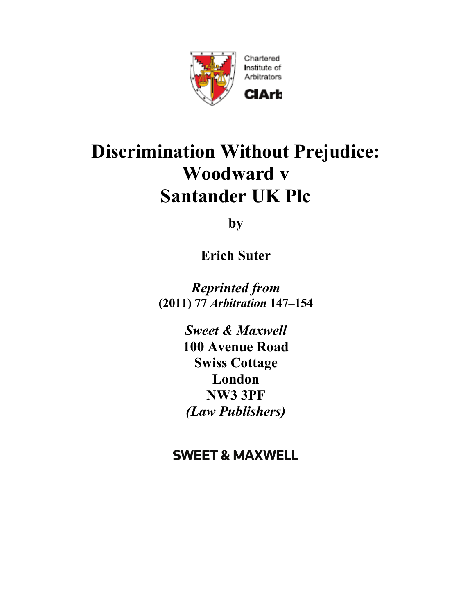

# **Discrimination Without Prejudice: Woodward v Santander UK Plc**

**by** 

**Erich Suter**

*Reprinted from* **(2011) 77** *Arbitration* **147–154**

> *Sweet & Maxwell*  **100 Avenue Road Swiss Cottage London NW3 3PF** *(Law Publishers)*

## **SWEET & MAXWELL**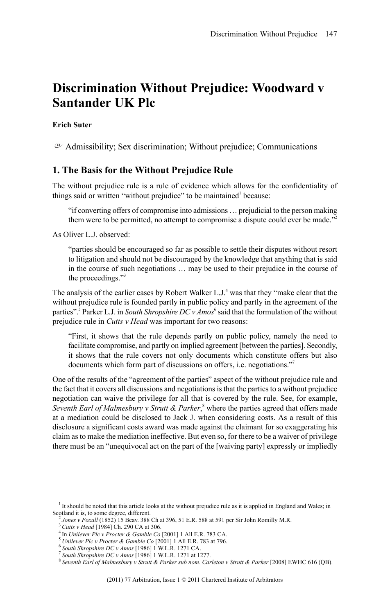### **Discrimination Without Prejudice: Woodward v Santander UK Plc**

#### **Erich Suter**

 $\sigma$  Admissibility; Sex discrimination; Without prejudice; Communications

#### **1. The Basis for the Without Prejudice Rule**

The without prejudice rule is a rule of evidence which allows for the confidentiality of things said or written "without prejudice" to be maintained<sup>1</sup> because:

"if converting offers of compromise into admissions … prejudicial to the person making them were to be permitted, no attempt to compromise a dispute could ever be made."<sup>2</sup>

As Oliver L.J. observed:

"parties should be encouraged so far as possible to settle their disputes without resort to litigation and should not be discouraged by the knowledge that anything that is said in the course of such negotiations … may be used to their prejudice in the course of the proceedings."<sup>3</sup>

The analysis of the earlier cases by Robert Walker L.J.<sup>4</sup> was that they "make clear that the without prejudice rule is founded partly in public policy and partly in the agreement of the parties".<sup>5</sup> Parker L.J. in *South Shropshire DC v Amos*<sup>6</sup> said that the formulation of the without prejudice rule in *Cutts v Head* was important for two reasons:

"First, it shows that the rule depends partly on public policy, namely the need to facilitate compromise, and partly on implied agreement [between the parties]. Secondly, it shows that the rule covers not only documents which constitute offers but also documents which form part of discussions on offers, i.e. negotiations."<sup>7</sup>

One of the results of the "agreement of the parties" aspect of the without prejudice rule and the fact that it covers all discussions and negotiationsisthat the partiesto a without prejudice negotiation can waive the privilege for all that is covered by the rule. See, for example, *Seventh Earl of Malmesbury v Strutt & Parker*, <sup>8</sup> where the parties agreed that offers made at a mediation could be disclosed to Jack J. when considering costs. As a result of this disclosure a significant costs award was made against the claimant for so exaggerating his claim as to make the mediation ineffective. But even so, for there to be a waiver of privilege there must be an "unequivocal act on the part of the [waiving party] expressly or impliedly

<sup>&</sup>lt;sup>1</sup> It should be noted that this article looks at the without prejudice rule as it is applied in England and Wales; in Scotland it is, to some degree, different.

<sup>2</sup> *Jones v Foxall* (1852) 15 Beav. 388 Ch at 396, 51 E.R. 588 at 591 per Sir John Romilly M.R. <sup>3</sup> *Cutts v Head* [1984] Ch. 290 CA at 306.

<sup>4</sup> In *Unilever Plc v Procter & Gamble Co* [2001] 1 All E.R. 783 CA.

<sup>5</sup> *Unilever Plc v Procter & Gamble Co* [2001] 1 All E.R. 783 at 796.

<sup>6</sup> *South Shropshire DC v Amos* [1986] 1 W.L.R. 1271 CA.

<sup>7</sup> *South Shropshire DC v Amos* [1986] 1 W.L.R. 1271 at 1277.

<sup>8</sup> *Seventh Earl of Malmesbury v Strutt & Parker sub nom. Carleton v Strutt & Parker* [2008] EWHC 616 (QB).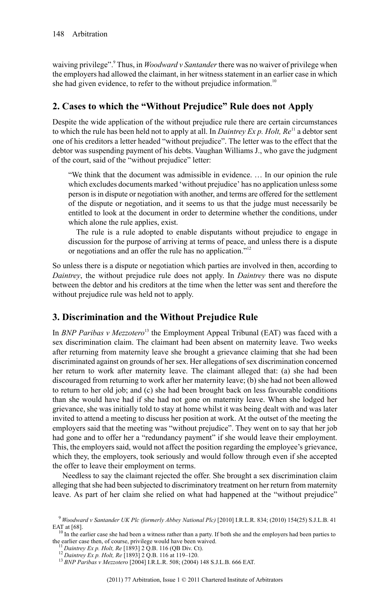waiving privilege".<sup>9</sup> Thus, in *Woodward v Santander*there was no waiver of privilege when the employers had allowed the claimant, in her witness statement in an earlier case in which she had given evidence, to refer to the without prejudice information.<sup>10</sup>

#### **2. Cases to which the "Without Prejudice" Rule does not Apply**

Despite the wide application of the without prejudice rule there are certain circumstances to which the rule has been held not to apply at all. In *Daintrey Ex p. Holt, Re*<sup>11</sup> a debtor sent one of his creditors a letter headed "without prejudice". The letter was to the effect that the debtor was suspending payment of his debts. Vaughan Williams J., who gave the judgment of the court, said of the "without prejudice" letter:

"We think that the document was admissible in evidence. … In our opinion the rule which excludes documents marked 'without prejudice' has no application unless some person is in dispute or negotiation with another, and terms are offered for the settlement of the dispute or negotiation, and it seems to us that the judge must necessarily be entitled to look at the document in order to determine whether the conditions, under which alone the rule applies, exist.

The rule is a rule adopted to enable disputants without prejudice to engage in discussion for the purpose of arriving at terms of peace, and unless there is a dispute or negotiations and an offer the rule has no application."<sup>12</sup>

So unless there is a dispute or negotiation which parties are involved in then, according to *Daintrey*, the without prejudice rule does not apply. In *Daintrey* there was no dispute between the debtor and his creditors at the time when the letter was sent and therefore the without prejudice rule was held not to apply.

#### **3. Discrimination and the Without Prejudice Rule**

In *BNP Paribas v Mezzotero*<sup>13</sup> the Employment Appeal Tribunal (EAT) was faced with a sex discrimination claim. The claimant had been absent on maternity leave. Two weeks after returning from maternity leave she brought a grievance claiming that she had been discriminated against on grounds of her sex. Her allegations of sex discrimination concerned her return to work after maternity leave. The claimant alleged that: (a) she had been discouraged from returning to work after her maternity leave; (b) she had not been allowed to return to her old job; and (c) she had been brought back on less favourable conditions than she would have had if she had not gone on maternity leave. When she lodged her grievance, she was initially told to stay at home whilst it was being dealt with and was later invited to attend a meeting to discuss her position at work. At the outset of the meeting the employers said that the meeting was "without prejudice". They went on to say that her job had gone and to offer her a "redundancy payment" if she would leave their employment. This, the employers said, would not affect the position regarding the employee's grievance, which they, the employers, took seriously and would follow through even if she accepted the offer to leave their employment on terms.

Needless to say the claimant rejected the offer. She brought a sex discrimination claim alleging that she had been subjected to discriminatory treatment on her return from maternity leave. As part of her claim she relied on what had happened at the "without prejudice"

<sup>9</sup> *Woodward v Santander UK Plc (formerly Abbey National Plc)* [2010] I.R.L.R. 834; (2010) 154(25) S.J.L.B. 41

EAT at [68].<br><sup>10</sup> In the earlier case she had been a witness rather than a party. If both she and the employers had been parties to the earlier case then, of course, privilege would have been waived.

<sup>11</sup> *Daintrey Ex p. Holt, Re* [1893] 2 Q.B. 116 (QB Div. Ct).

<sup>12</sup> *Daintrey Ex p. Holt, Re* [1893] 2 Q.B. 116 at 119–120.

<sup>13</sup> *BNP Paribas v Mezzotero* [2004] I.R.L.R. 508; (2004) 148 S.J.L.B. 666 EAT.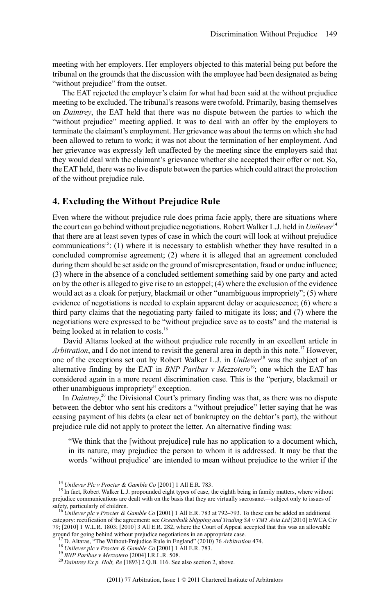meeting with her employers. Her employers objected to this material being put before the tribunal on the grounds that the discussion with the employee had been designated as being "without prejudice" from the outset.

The EAT rejected the employer's claim for what had been said at the without prejudice meeting to be excluded. The tribunal's reasons were twofold. Primarily, basing themselves on *Daintrey*, the EAT held that there was no dispute between the parties to which the "without prejudice" meeting applied. It was to deal with an offer by the employers to terminate the claimant's employment. Her grievance was about the terms on which she had been allowed to return to work; it was not about the termination of her employment. And her grievance was expressly left unaffected by the meeting since the employers said that they would deal with the claimant's grievance whether she accepted their offer or not. So, the EAT held, there was no live dispute between the parties which could attract the protection of the without prejudice rule.

#### **4. Excluding the Without Prejudice Rule**

Even where the without prejudice rule does prima facie apply, there are situations where the court can go behind without prejudice negotiations. Robert Walker L.J. held in *Unilever*<sup>14</sup> that there are at least seven types of case in which the court will look at without prejudice communications<sup>15</sup>: (1) where it is necessary to establish whether they have resulted in a concluded compromise agreement; (2) where it is alleged that an agreement concluded during them should be set aside on the ground of misrepresentation, fraud or undue influence; (3) where in the absence of a concluded settlement something said by one party and acted on by the other is alleged to give rise to an estoppel; (4) where the exclusion of the evidence would act as a cloak for perjury, blackmail or other "unambiguous impropriety"; (5) where evidence of negotiations is needed to explain apparent delay or acquiescence; (6) where a third party claims that the negotiating party failed to mitigate its loss; and (7) where the negotiations were expressed to be "without prejudice save as to costs" and the material is being looked at in relation to costs.<sup>16</sup>

David Altaras looked at the without prejudice rule recently in an excellent article in *Arbitration*, and I do not intend to revisit the general area in depth in this note.<sup>17</sup> However, one of the exceptions set out by Robert Walker L.J. in *Unilever*<sup>18</sup> was the subject of an alternative finding by the EAT in *BNP Paribas v Mezzotero* <sup>19</sup>; one which the EAT has considered again in a more recent discrimination case. This is the "perjury, blackmail or other unambiguous impropriety" exception.

In *Daintrey*, <sup>20</sup> the Divisional Court's primary finding was that, as there was no dispute between the debtor who sent his creditors a "without prejudice" letter saying that he was ceasing payment of his debts (a clear act of bankruptcy on the debtor's part), the without prejudice rule did not apply to protect the letter. An alternative finding was:

"We think that the [without prejudice] rule has no application to a document which, in its nature, may prejudice the person to whom it is addressed. It may be that the words 'without prejudice' are intended to mean without prejudice to the writer if the

<sup>14</sup> *Unilever Plc v Procter & Gamble Co* [2001] 1 All E.R. 783.

<sup>&</sup>lt;sup>15</sup> In fact, Robert Walker L.J. propounded eight types of case, the eighth being in family matters, where without prejudice communications are dealt with on the basis that they are virtually sacrosanct—subject only to issues of safety, particularly of children. <sup>16</sup> *Unilever plc v Procter & Gamble Co* [2001] 1 All E.R. 783 at 792–793. To these can be added an additional

category: rectification of the agreement: see *Oceanbulk Shipping and Trading SA v TMT Asia Ltd* [2010] EWCA Civ 79; [2010] 1 W.L.R. 1803; [2010] 3 All E.R. 282, where the Court of Appeal accepted that this was an allowable ground for going behind without prejudice negotiations in an appropriate case.

<sup>17</sup> D. Altaras, "The Without-Prejudice Rule in England" (2010) 76 *Arbitration* 474.

<sup>18</sup> *Unilever plc v Procter & Gamble Co* [2001] 1 All E.R. 783.

<sup>19</sup> *BNP Paribas v Mezzotero* [2004] I.R.L.R. 508.

<sup>20</sup> *Daintrey Ex p. Holt, Re* [1893] 2 Q.B. 116. See also section 2, above.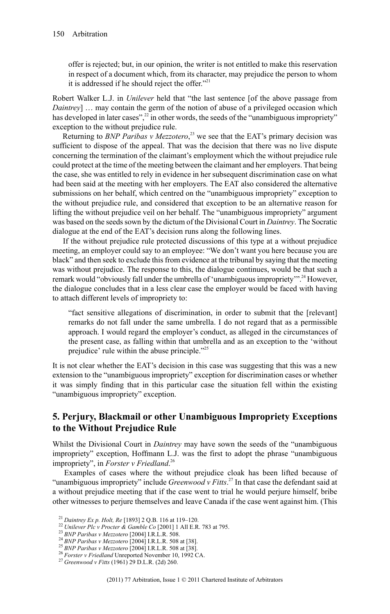offer is rejected; but, in our opinion, the writer is not entitled to make this reservation in respect of a document which, from its character, may prejudice the person to whom it is addressed if he should reject the offer."<sup>21</sup>

Robert Walker L.J. in *Unilever* held that "the last sentence [of the above passage from *Daintrey*] … may contain the germ of the notion of abuse of a privileged occasion which has developed in later cases", $^{22}$  in other words, the seeds of the "unambiguous impropriety" exception to the without prejudice rule.

Returning to *BNP Paribas v Mezzotero*, <sup>23</sup> we see that the EAT's primary decision was sufficient to dispose of the appeal. That was the decision that there was no live dispute concerning the termination of the claimant's employment which the without prejudice rule could protect at the time of the meeting between the claimant and her employers. That being the case, she was entitled to rely in evidence in her subsequent discrimination case on what had been said at the meeting with her employers. The EAT also considered the alternative submissions on her behalf, which centred on the "unambiguous impropriety" exception to the without prejudice rule, and considered that exception to be an alternative reason for lifting the without prejudice veil on her behalf. The "unambiguous impropriety" argument was based on the seeds sown by the dictum of the Divisional Court in *Daintrey*. The Socratic dialogue at the end of the EAT's decision runs along the following lines.

If the without prejudice rule protected discussions of this type at a without prejudice meeting, an employer could say to an employee: "We don't want you here because you are black" and then seek to exclude this from evidence at the tribunal by saying that the meeting was without prejudice. The response to this, the dialogue continues, would be that such a remark would "obviously fall under the umbrella of 'unambiguous impropriety'".<sup>24</sup> However, the dialogue concludes that in a less clear case the employer would be faced with having to attach different levels of impropriety to:

"fact sensitive allegations of discrimination, in order to submit that the [relevant] remarks do not fall under the same umbrella. I do not regard that as a permissible approach. I would regard the employer's conduct, as alleged in the circumstances of the present case, as falling within that umbrella and as an exception to the 'without prejudice' rule within the abuse principle."<sup>25</sup>

It is not clear whether the EAT's decision in this case was suggesting that this was a new extension to the "unambiguous impropriety" exception for discrimination cases or whether it was simply finding that in this particular case the situation fell within the existing "unambiguous impropriety" exception.

#### **5. Perjury, Blackmail or other Unambiguous Impropriety Exceptions to the Without Prejudice Rule**

Whilst the Divisional Court in *Daintrey* may have sown the seeds of the "unambiguous impropriety" exception, Hoffmann L.J. was the first to adopt the phrase "unambiguous impropriety", in *Forster v Friedland*. 26

Examples of cases where the without prejudice cloak has been lifted because of "unambiguous impropriety" include *Greenwood v Fitts*. <sup>27</sup> In that case the defendant said at a without prejudice meeting that if the case went to trial he would perjure himself, bribe other witnesses to perjure themselves and leave Canada if the case went against him. (This

<sup>21</sup> *Daintrey Ex p. Holt, Re* [1893] 2 Q.B. 116 at 119–120.

<sup>22</sup> *Unilever Plc v Procter & Gamble Co* [2001] 1 All E.R. 783 at 795.

<sup>23</sup> *BNP Paribas v Mezzotero* [2004] I.R.L.R. 508.

<sup>24</sup> *BNP Paribas v Mezzotero* [2004] I.R.L.R. 508 at [38].

<sup>25</sup> *BNP Paribas v Mezzotero* [2004] I.R.L.R. 508 at [38].

<sup>26</sup> *Forster v Friedland* Unreported November 10, 1992 CA.

<sup>27</sup> *Greenwood v Fitts* (1961) 29 D.L.R. (2d) 260.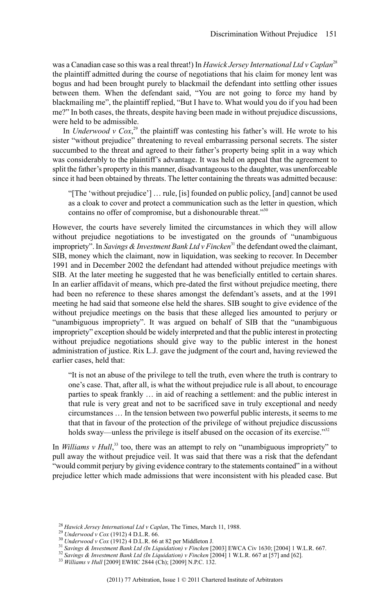was a Canadian case so this was a real threat!) In *Hawick Jersey International Ltd v Caplan*<sup>28</sup> the plaintiff admitted during the course of negotiations that his claim for money lent was bogus and had been brought purely to blackmail the defendant into settling other issues between them. When the defendant said, "You are not going to force my hand by blackmailing me", the plaintiff replied, "But I have to. What would you do if you had been me?" In both cases, the threats, despite having been made in without prejudice discussions, were held to be admissible.

In *Underwood*  $v$   $Cox$ ,<sup>29</sup> the plaintiff was contesting his father's will. He wrote to his sister "without prejudice" threatening to reveal embarrassing personal secrets. The sister succumbed to the threat and agreed to their father's property being split in a way which was considerably to the plaintiff's advantage. It was held on appeal that the agreement to split the father's property in this manner, disadvantageousto the daughter, was unenforceable since it had been obtained by threats. The letter containing the threats was admitted because:

"[The 'without prejudice'] … rule, [is] founded on public policy, [and] cannot be used as a cloak to cover and protect a communication such as the letter in question, which contains no offer of compromise, but a dishonourable threat."<sup>30</sup>

However, the courts have severely limited the circumstances in which they will allow without prejudice negotiations to be investigated on the grounds of "unambiguous impropriety". In *Savings & Investment Bank Ltd v Fincken*<sup>31</sup> the defendant owed the claimant, SIB, money which the claimant, now in liquidation, was seeking to recover. In December 1991 and in December 2002 the defendant had attended without prejudice meetings with SIB. At the later meeting he suggested that he was beneficially entitled to certain shares. In an earlier affidavit of means, which pre-dated the first without prejudice meeting, there had been no reference to these shares amongst the defendant's assets, and at the 1991 meeting he had said that someone else held the shares. SIB sought to give evidence of the without prejudice meetings on the basis that these alleged lies amounted to perjury or "unambiguous impropriety". It was argued on behalf of SIB that the "unambiguous impropriety" exception should be widely interpreted and that the public interest in protecting without prejudice negotiations should give way to the public interest in the honest administration of justice. Rix L.J. gave the judgment of the court and, having reviewed the earlier cases, held that:

"It is not an abuse of the privilege to tell the truth, even where the truth is contrary to one's case. That, after all, is what the without prejudice rule is all about, to encourage parties to speak frankly … in aid of reaching a settlement: and the public interest in that rule is very great and not to be sacrificed save in truly exceptional and needy circumstances … In the tension between two powerful public interests, it seems to me that that in favour of the protection of the privilege of without prejudice discussions holds sway—unless the privilege is itself abused on the occasion of its exercise."<sup>32</sup>

In *Williams* v Hull,<sup>33</sup> too, there was an attempt to rely on "unambiguous impropriety" to pull away the without prejudice veil. It was said that there was a risk that the defendant "would commit perjury by giving evidence contrary to the statements contained" in a without prejudice letter which made admissions that were inconsistent with his pleaded case. But

<sup>31</sup> *Savings & Investment Bank Ltd (In Liquidation) v Fincken* [2003] EWCA Civ 1630; [2004] 1 W.L.R. 667.

<sup>28</sup> *Hawick Jersey International Ltd v Caplan*, The Times, March 11, 1988.

<sup>29</sup> *Underwood v Cox* (1912) 4 D.L.R. 66.

<sup>30</sup> *Underwood v Cox* (1912) 4 D.L.R. 66 at 82 per Middleton J.

<sup>32</sup> *Savings & Investment Bank Ltd (In Liquidation) v Fincken* [2004] 1 W.L.R. 667 at [57] and [62].

<sup>33</sup> *Williams v Hull* [2009] EWHC 2844 (Ch); [2009] N.P.C. 132.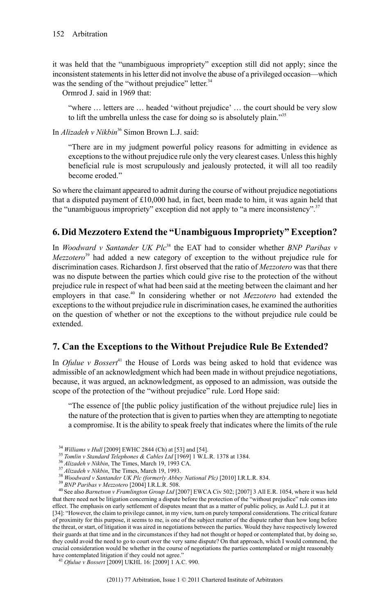it was held that the "unambiguous impropriety" exception still did not apply; since the inconsistent statements in his letter did not involve the abuse of a privileged occasion—which was the sending of the "without prejudice" letter.<sup>34</sup>

Ormrod J. said in 1969 that:

"where … letters are … headed 'without prejudice' … the court should be very slow to lift the umbrella unless the case for doing so is absolutely plain."<sup>35</sup>

In *Alizadeh v Nikbin*<sup>36</sup> Simon Brown L.J. said:

"There are in my judgment powerful policy reasons for admitting in evidence as exceptions to the without prejudice rule only the very clearest cases. Unless this highly beneficial rule is most scrupulously and jealously protected, it will all too readily become eroded."

So where the claimant appeared to admit during the course of without prejudice negotiations that a disputed payment of  $£10,000$  had, in fact, been made to him, it was again held that the "unambiguous impropriety" exception did not apply to "a mere inconsistency".<sup>37</sup>

#### **6. Did Mezzotero Extend the "UnambiguousImpropriety" Exception?**

In *Woodward v Santander UK Plc*<sup>38</sup> the EAT had to consider whether *BNP Paribas v Mezzotero* <sup>39</sup> had added a new category of exception to the without prejudice rule for discrimination cases. Richardson J. first observed that the ratio of *Mezzotero* was that there was no dispute between the parties which could give rise to the protection of the without prejudice rule in respect of what had been said at the meeting between the claimant and her employers in that case.<sup>40</sup> In considering whether or not *Mezzotero* had extended the exceptions to the without prejudice rule in discrimination cases, he examined the authorities on the question of whether or not the exceptions to the without prejudice rule could be extended.

#### **7. Can the Exceptions to the Without Prejudice Rule Be Extended?**

In *Ofulue v Bossert*<sup>41</sup> the House of Lords was being asked to hold that evidence was admissible of an acknowledgment which had been made in without prejudice negotiations, because, it was argued, an acknowledgment, as opposed to an admission, was outside the scope of the protection of the "without prejudice" rule. Lord Hope said:

"The essence of [the public policy justification of the without prejudice rule] lies in the nature of the protection that is given to parties when they are attempting to negotiate a compromise. It is the ability to speak freely that indicates where the limits of the rule

<sup>34</sup> *Williams v Hull* [2009] EWHC 2844 (Ch) at [53] and [54].

<sup>35</sup> *Tomlin v Standard Telephones & Cables Ltd* [1969] 1 W.L.R. 1378 at 1384.

<sup>36</sup> *Alizadeh v Nikbin*, The Times, March 19, 1993 CA.

<sup>37</sup> *Alizadeh v Nikbin*, The Times, March 19, 1993.

<sup>38</sup> *Woodward v Santander UK Plc (formerly Abbey National Plc)* [2010] I.R.L.R. 834.

<sup>39</sup> *BNP Paribas v Mezzotero* [2004] I.R.L.R. 508.

<sup>40</sup> See also *Barnetson v Framlington Group Ltd* [2007] EWCA Civ 502; [2007] 3 All E.R. 1054, where it was held that there need not be litigation concerning a dispute before the protection of the "without prejudice" rule comes into effect. The emphasis on early settlement of disputes meant that as a matter of public policy, as Auld L.J. put it at [34]: "However, the claim to privilege cannot, in my view, turn on purely temporal considerations. The critical feature of proximity for this purpose, it seems to me, is one of the subject matter of the dispute rather than how long before the threat, or start, of litigation it was aired in negotiations between the parties. Would they have respectively lowered their guards at that time and in the circumstances if they had not thought or hoped or contemplated that, by doing so, they could avoid the need to go to court over the very same dispute? On that approach, which I would commend, the crucial consideration would be whether in the course of negotiations the parties contemplated or might reasonably have contemplated litigation if they could not agree.'

<sup>41</sup> *Ofulue v Bossert* [2009] UKHL 16: [2009] 1 A.C. 990.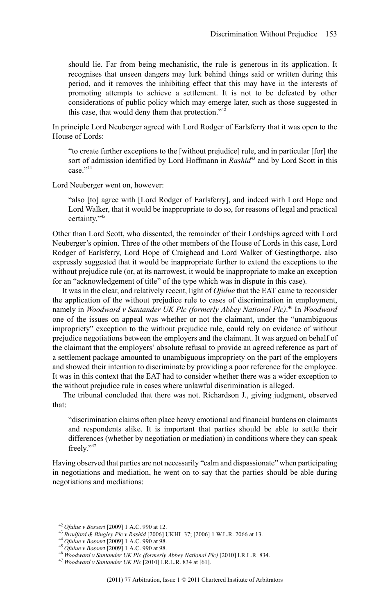should lie. Far from being mechanistic, the rule is generous in its application. It recognises that unseen dangers may lurk behind things said or written during this period, and it removes the inhibiting effect that this may have in the interests of promoting attempts to achieve a settlement. It is not to be defeated by other considerations of public policy which may emerge later, such as those suggested in this case, that would deny them that protection."<sup>42</sup>

In principle Lord Neuberger agreed with Lord Rodger of Earlsferry that it was open to the House of Lords:

"to create further exceptions to the [without prejudice] rule, and in particular [for] the sort of admission identified by Lord Hoffmann in *Rashid*<sup>43</sup> and by Lord Scott in this case."<sup>44</sup>

Lord Neuberger went on, however:

"also [to] agree with [Lord Rodger of Earlsferry], and indeed with Lord Hope and Lord Walker, that it would be inappropriate to do so, for reasons of legal and practical certainty."<sup>45</sup>

Other than Lord Scott, who dissented, the remainder of their Lordships agreed with Lord Neuberger's opinion. Three of the other members of the House of Lords in this case, Lord Rodger of Earlsferry, Lord Hope of Craighead and Lord Walker of Gestingthorpe, also expressly suggested that it would be inappropriate further to extend the exceptions to the without prejudice rule (or, at its narrowest, it would be inappropriate to make an exception for an "acknowledgement of title" of the type which was in dispute in this case).

It was in the clear, and relatively recent, light of *Ofulue* that the EAT came to reconsider the application of the without prejudice rule to cases of discrimination in employment, namely in *Woodward v Santander UK Plc (formerly Abbey National Plc)*. <sup>46</sup> In *Woodward* one of the issues on appeal was whether or not the claimant, under the "unambiguous impropriety" exception to the without prejudice rule, could rely on evidence of without prejudice negotiations between the employers and the claimant. It was argued on behalf of the claimant that the employers' absolute refusal to provide an agreed reference as part of a settlement package amounted to unambiguous impropriety on the part of the employers and showed their intention to discriminate by providing a poor reference for the employee. It was in this context that the EAT had to consider whether there was a wider exception to the without prejudice rule in cases where unlawful discrimination is alleged.

The tribunal concluded that there was not. Richardson J., giving judgment, observed that:

"discrimination claims often place heavy emotional and financial burdens on claimants and respondents alike. It is important that parties should be able to settle their differences (whether by negotiation or mediation) in conditions where they can speak freely."<sup>47</sup>

Having observed that parties are not necessarily "calm and dispassionate" when participating in negotiations and mediation, he went on to say that the parties should be able during negotiations and mediations:

<sup>42</sup> *Ofulue v Bossert* [2009] 1 A.C. 990 at 12.

<sup>43</sup> *Bradford & Bingley Plc v Rashid* [2006] UKHL 37; [2006] 1 W.L.R. 2066 at 13.

<sup>44</sup> *Ofulue v Bossert* [2009] 1 A.C. 990 at 98.

<sup>45</sup> *Ofulue v Bossert* [2009] 1 A.C. 990 at 98.

<sup>46</sup> *Woodward v Santander UK Plc (formerly Abbey National Plc)* [2010] I.R.L.R. 834.

<sup>47</sup> *Woodward v Santander UK Plc* [2010] I.R.L.R. 834 at [61].